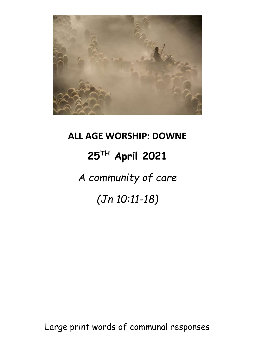

## **ALL AGE WORSHIP: DOWNE 25TH April 2021** *A community of care (Jn 10:11-18)*

Large print words of communal responses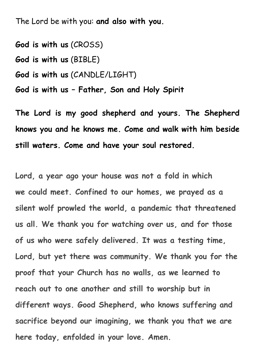The Lord be with you: **and also with you.**

**God is with us** (CROSS) **God is with us** (BIBLE) **God is with us** (CANDLE/LIGHT) **God is with us – Father, Son and Holy Spirit**

**The Lord is my good shepherd and yours. The Shepherd knows you and he knows me. Come and walk with him beside still waters. Come and have your soul restored.**

**Lord, a year ago your house was not a fold in which we could meet. Confined to our homes, we prayed as a silent wolf prowled the world, a pandemic that threatened us all. We thank you for watching over us, and for those of us who were safely delivered. It was a testing time, Lord, but yet there was community. We thank you for the proof that your Church has no walls, as we learned to reach out to one another and still to worship but in different ways. Good Shepherd, who knows suffering and sacrifice beyond our imagining, we thank you that we are here today, enfolded in your love. Amen.**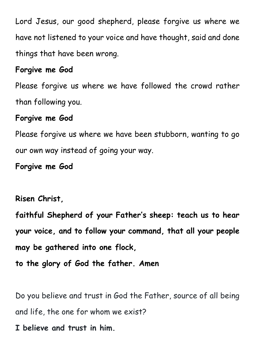Lord Jesus, our good shepherd, please forgive us where we have not listened to your voice and have thought, said and done things that have been wrong.

## **Forgive me God**

Please forgive us where we have followed the crowd rather than following you.

## **Forgive me God**

Please forgive us where we have been stubborn, wanting to go our own way instead of going your way.

**Forgive me God**

## **Risen Christ,**

**faithful Shepherd of your Father's sheep: teach us to hear your voice, and to follow your command, that all your people may be gathered into one flock,** 

**to the glory of God the father. Amen**

Do you believe and trust in God the Father, source of all being and life, the one for whom we exist?

**I believe and trust in him.**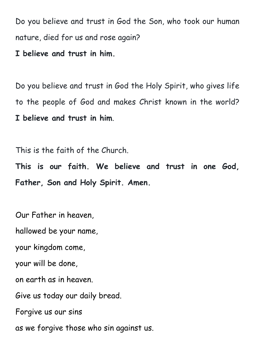Do you believe and trust in God the Son, who took our human nature, died for us and rose again?

**I believe and trust in him.**

Do you believe and trust in God the Holy Spirit, who gives life to the people of God and makes Christ known in the world? **I believe and trust in him**.

This is the faith of the Church.

**This is our faith. We believe and trust in one God, Father, Son and Holy Spirit. Amen.**

Our Father in heaven,

hallowed be your name,

your kingdom come,

your will be done,

on earth as in heaven.

Give us today our daily bread.

Forgive us our sins

as we forgive those who sin against us.